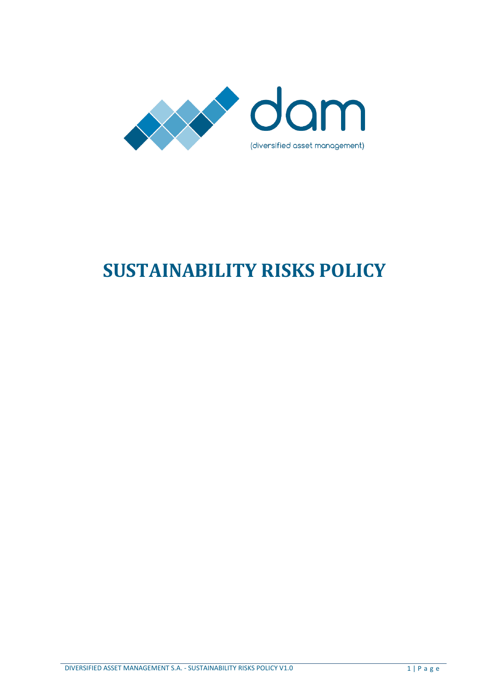

# **SUSTAINABILITY RISKS POLICY**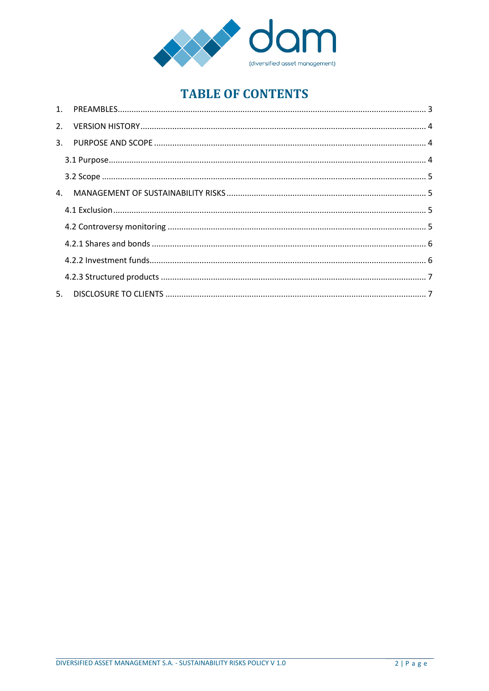

# **TABLE OF CONTENTS**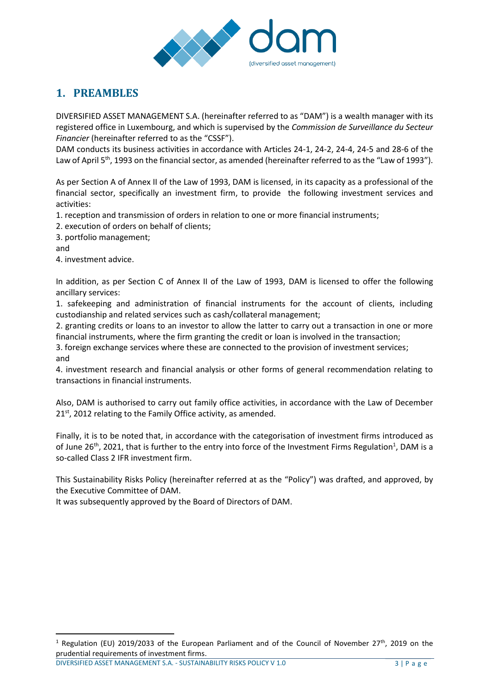

## <span id="page-2-0"></span>**1. PREAMBLES**

DIVERSIFIED ASSET MANAGEMENT S.A. (hereinafter referred to as "DAM") is a wealth manager with its registered office in Luxembourg, and which is supervised by the *Commission de Surveillance du Secteur Financier* (hereinafter referred to as the "CSSF").

DAM conducts its business activities in accordance with Articles 24-1, 24-2, 24-4, 24-5 and 28-6 of the Law of April 5<sup>th</sup>, 1993 on the financial sector, as amended (hereinafter referred to as the "Law of 1993").

As per Section A of Annex II of the Law of 1993, DAM is licensed, in its capacity as a professional of the financial sector, specifically an investment firm, to provide the following investment services and activities:

1. reception and transmission of orders in relation to one or more financial instruments;

2. execution of orders on behalf of clients;

3. portfolio management;

and

 $\overline{a}$ 

4. investment advice.

In addition, as per Section C of Annex II of the Law of 1993, DAM is licensed to offer the following ancillary services:

1. safekeeping and administration of financial instruments for the account of clients, including custodianship and related services such as cash/collateral management;

2. granting credits or loans to an investor to allow the latter to carry out a transaction in one or more financial instruments, where the firm granting the credit or loan is involved in the transaction;

3. foreign exchange services where these are connected to the provision of investment services; and

4. investment research and financial analysis or other forms of general recommendation relating to transactions in financial instruments.

Also, DAM is authorised to carry out family office activities, in accordance with the Law of December  $21<sup>st</sup>$ , 2012 relating to the Family Office activity, as amended.

Finally, it is to be noted that, in accordance with the categorisation of investment firms introduced as of June 26<sup>th</sup>, 2021, that is further to the entry into force of the Investment Firms Regulation<sup>1</sup>, DAM is a so-called Class 2 IFR investment firm.

This Sustainability Risks Policy (hereinafter referred at as the "Policy") was drafted, and approved, by the Executive Committee of DAM.

It was subsequently approved by the Board of Directors of DAM.

DIVERSIFIED ASSET MANAGEMENT S.A. - SUSTAINABILITY RISKS POLICY V 1.0 3 | P a g e

<sup>&</sup>lt;sup>1</sup> Regulation (EU) 2019/2033 of the European Parliament and of the Council of November 27<sup>th</sup>, 2019 on the prudential requirements of investment firms.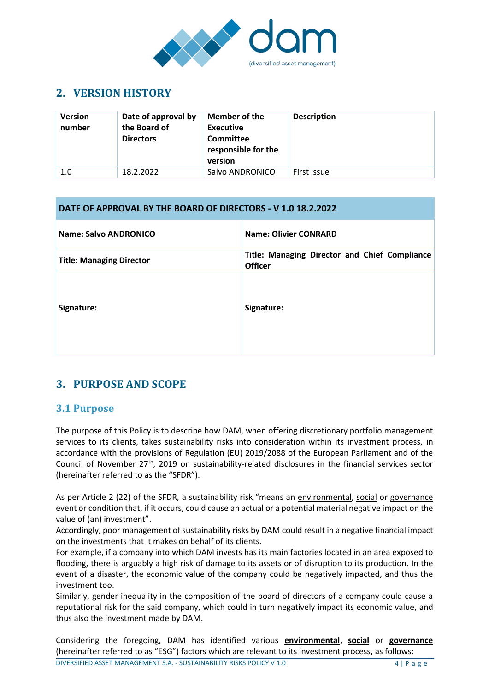

## <span id="page-3-0"></span>**2. VERSION HISTORY**

| <b>Version</b><br>number | Date of approval by<br>the Board of<br><b>Directors</b> | <b>Member of the</b><br><b>Executive</b><br>Committee<br>responsible for the<br>version | <b>Description</b> |
|--------------------------|---------------------------------------------------------|-----------------------------------------------------------------------------------------|--------------------|
| 1.0                      | 18.2.2022                                               | Salvo ANDRONICO                                                                         | First issue        |

#### **DATE OF APPROVAL BY THE BOARD OF DIRECTORS - V 1.0 18.2.2022**

| Name: Salvo ANDRONICO           | <b>Name: Olivier CONRARD</b>                                    |
|---------------------------------|-----------------------------------------------------------------|
| <b>Title: Managing Director</b> | Title: Managing Director and Chief Compliance<br><b>Officer</b> |
| Signature:                      | Signature:                                                      |

## <span id="page-3-1"></span>**3. PURPOSE AND SCOPE**

#### <span id="page-3-2"></span>**3.1 Purpose**

The purpose of this Policy is to describe how DAM, when offering discretionary portfolio management services to its clients, takes sustainability risks into consideration within its investment process, in accordance with the provisions of Regulation (EU) 2019/2088 of the European Parliament and of the Council of November 27<sup>th</sup>, 2019 on sustainability-related disclosures in the financial services sector (hereinafter referred to as the "SFDR").

As per Article 2 (22) of the SFDR, a sustainability risk "means an environmental, social or governance event or condition that, if it occurs, could cause an actual or a potential material negative impact on the value of (an) investment".

Accordingly, poor management of sustainability risks by DAM could result in a negative financial impact on the investments that it makes on behalf of its clients.

For example, if a company into which DAM invests has its main factories located in an area exposed to flooding, there is arguably a high risk of damage to its assets or of disruption to its production. In the event of a disaster, the economic value of the company could be negatively impacted, and thus the investment too.

Similarly, gender inequality in the composition of the board of directors of a company could cause a reputational risk for the said company, which could in turn negatively impact its economic value, and thus also the investment made by DAM.

Considering the foregoing, DAM has identified various **environmental**, **social** or **governance** (hereinafter referred to as "ESG") factors which are relevant to its investment process, as follows: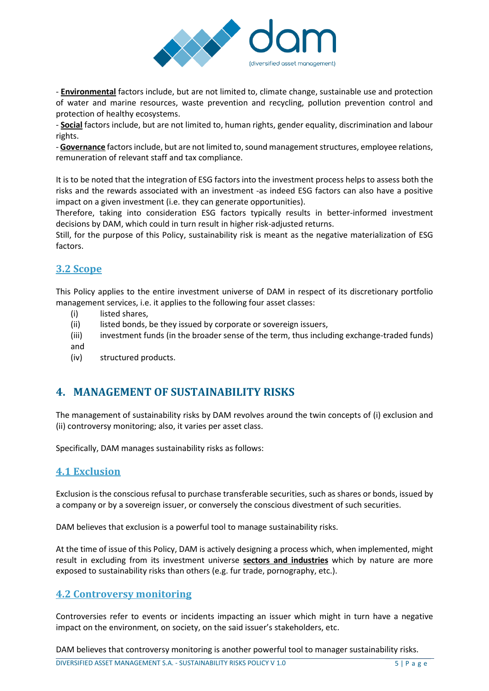

- **Environmental** factors include, but are not limited to, climate change, sustainable use and protection of water and marine resources, waste prevention and recycling, pollution prevention control and protection of healthy ecosystems.

- **Social** factors include, but are not limited to, human rights, gender equality, discrimination and labour rights.

- **Governance** factors include, but are not limited to, sound management structures, employee relations, remuneration of relevant staff and tax compliance.

It is to be noted that the integration of ESG factors into the investment process helps to assess both the risks and the rewards associated with an investment -as indeed ESG factors can also have a positive impact on a given investment (i.e. they can generate opportunities).

Therefore, taking into consideration ESG factors typically results in better-informed investment decisions by DAM, which could in turn result in higher risk-adjusted returns.

Still, for the purpose of this Policy, sustainability risk is meant as the negative materialization of ESG factors.

#### <span id="page-4-0"></span>**3.2 Scope**

This Policy applies to the entire investment universe of DAM in respect of its discretionary portfolio management services, i.e. it applies to the following four asset classes:

- (i) listed shares,
- (ii) listed bonds, be they issued by corporate or sovereign issuers,
- (iii) investment funds (in the broader sense of the term, thus including exchange-traded funds) and
- (iv) structured products.

## <span id="page-4-1"></span>**4. MANAGEMENT OF SUSTAINABILITY RISKS**

The management of sustainability risks by DAM revolves around the twin concepts of (i) exclusion and (ii) controversy monitoring; also, it varies per asset class.

Specifically, DAM manages sustainability risks as follows:

#### <span id="page-4-2"></span>**4.1 Exclusion**

Exclusion is the conscious refusal to purchase transferable securities, such as shares or bonds, issued by a company or by a sovereign issuer, or conversely the conscious divestment of such securities.

DAM believes that exclusion is a powerful tool to manage sustainability risks.

At the time of issue of this Policy, DAM is actively designing a process which, when implemented, might result in excluding from its investment universe **sectors and industries** which by nature are more exposed to sustainability risks than others (e.g. fur trade, pornography, etc.).

#### <span id="page-4-3"></span>**4.2 Controversy monitoring**

Controversies refer to events or incidents impacting an issuer which might in turn have a negative impact on the environment, on society, on the said issuer's stakeholders, etc.

DAM believes that controversy monitoring is another powerful tool to manager sustainability risks.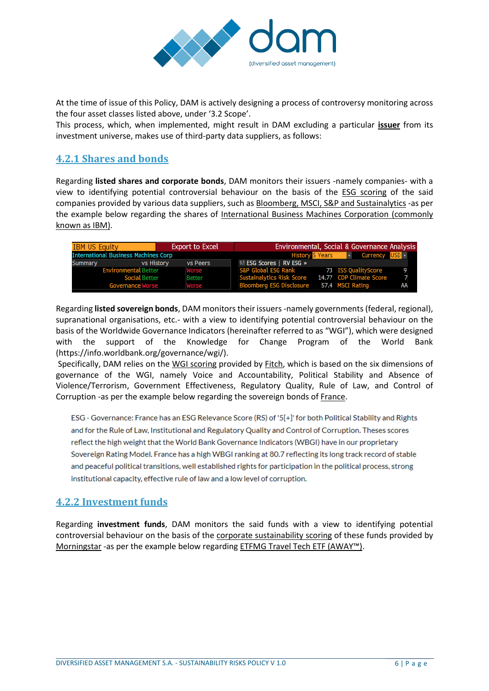

At the time of issue of this Policy, DAM is actively designing a process of controversy monitoring across the four asset classes listed above, under '3.2 Scope'.

This process, which, when implemented, might result in DAM excluding a particular **issuer** from its investment universe, makes use of third-party data suppliers, as follows:

#### <span id="page-5-0"></span>**4.2.1 Shares and bonds**

Regarding **listed shares and corporate bonds**, DAM monitors their issuers -namely companies- with a view to identifying potential controversial behaviour on the basis of the ESG scoring of the said companies provided by various data suppliers, such as Bloomberg, MSCI, S&P and Sustainalytics -as per the example below regarding the shares of International Business Machines Corporation (commonly known as IBM).

| <b>International Business Machines Corp</b> |               |                           | <b>v</b> Currency USD · |                                                                                                                                                                                                                    |
|---------------------------------------------|---------------|---------------------------|-------------------------|--------------------------------------------------------------------------------------------------------------------------------------------------------------------------------------------------------------------|
| vs History                                  | vs Peers      | 97) ESG Scores   RV ESG » |                         |                                                                                                                                                                                                                    |
| <b>Environmental Better</b>                 | Worse         |                           |                         |                                                                                                                                                                                                                    |
| <b>Social Better</b>                        | <b>Better</b> |                           |                         |                                                                                                                                                                                                                    |
| Governance Worse                            | Worse         |                           |                         |                                                                                                                                                                                                                    |
|                                             |               | <b>Export to Excel</b>    |                         | Environmental, Social & Governance Analysis<br><b>History 5 Years</b><br>S&P Global ESG Rank 73 ISS QualityScore<br>Sustainalytics Risk Score 14.77 CDP Climate Score<br>Bloomberg ESG Disclosure 57.4 MSCI Rating |

Regarding **listed sovereign bonds**, DAM monitors their issuers -namely governments (federal, regional), supranational organisations, etc.- with a view to identifying potential controversial behaviour on the basis of the Worldwide Governance Indicators (hereinafter referred to as "WGI"), which were designed with the support of the Knowledge for Change Program of the World Bank [\(https://info.worldbank.org/governance/wgi/\)](https://info.worldbank.org/governance/wgi/).

Specifically, DAM relies on the WGI scoring provided by Fitch, which is based on the six dimensions of governance of the WGI, namely Voice and Accountability, Political Stability and Absence of Violence/Terrorism, Government Effectiveness, Regulatory Quality, Rule of Law, and Control of Corruption -as per the example below regarding the sovereign bonds of France.

ESG - Governance: France has an ESG Relevance Score (RS) of '5[+]' for both Political Stability and Rights and for the Rule of Law, Institutional and Regulatory Quality and Control of Corruption. Theses scores reflect the high weight that the World Bank Governance Indicators (WBGI) have in our proprietary Sovereign Rating Model. France has a high WBGI ranking at 80.7 reflecting its long track record of stable and peaceful political transitions, well established rights for participation in the political process, strong institutional capacity, effective rule of law and a low level of corruption.

#### <span id="page-5-1"></span>**4.2.2 Investment funds**

Regarding **investment funds**, DAM monitors the said funds with a view to identifying potential controversial behaviour on the basis of the corporate sustainability scoring of these funds provided by Morningstar -as per the example below regarding ETFMG Travel Tech ETF (AWAY™).